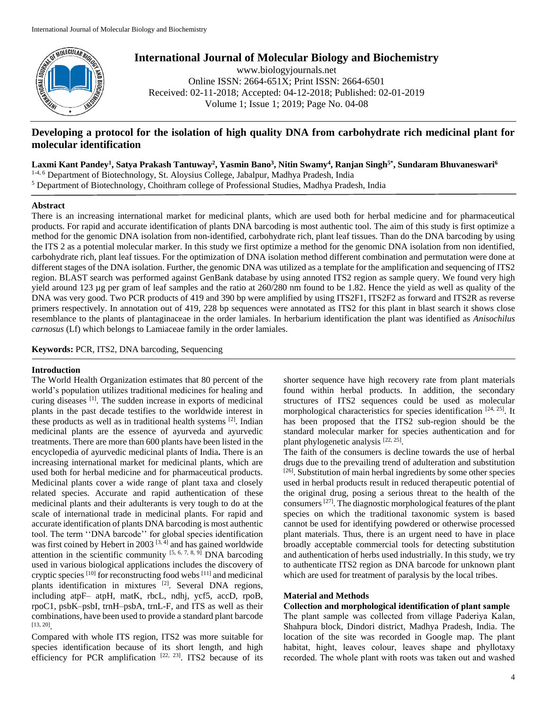

# **International Journal of Molecular Biology and Biochemistry**

www.biologyjournals.net Online ISSN: 2664-651X; Print ISSN: 2664-6501 Received: 02-11-2018; Accepted: 04-12-2018; Published: 02-01-2019 Volume 1; Issue 1; 2019; Page No. 04-08

# **Developing a protocol for the isolation of high quality DNA from carbohydrate rich medicinal plant for molecular identification**

**Laxmi Kant Pandey<sup>1</sup> , Satya Prakash Tantuway<sup>2</sup> , Yasmin Bano<sup>3</sup> , Nitin Swamy<sup>4</sup> , Ranjan Singh5\* , Sundaram Bhuvaneswari<sup>6</sup>**

1-4, 6 Department of Biotechnology, St. Aloysius College, Jabalpur, Madhya Pradesh, India

<sup>5</sup> Department of Biotechnology, Choithram college of Professional Studies, Madhya Pradesh, India

# **Abstract**

There is an increasing international market for medicinal plants, which are used both for herbal medicine and for pharmaceutical products. For rapid and accurate identification of plants DNA barcoding is most authentic tool. The aim of this study is first optimize a method for the genomic DNA isolation from non-identified, carbohydrate rich, plant leaf tissues. Than do the DNA barcoding by using the ITS 2 as a potential molecular marker. In this study we first optimize a method for the genomic DNA isolation from non identified, carbohydrate rich, plant leaf tissues. For the optimization of DNA isolation method different combination and permutation were done at different stages of the DNA isolation. Further, the genomic DNA was utilized as a template for the amplification and sequencing of ITS2 region. BLAST search was performed against GenBank database by using annoted ITS2 region as sample query. We found very high yield around 123 µg per gram of leaf samples and the ratio at  $260/280$  nm found to be 1.82. Hence the yield as well as quality of the DNA was very good. Two PCR products of 419 and 390 bp were amplified by using ITS2F1, ITS2F2 as forward and ITS2R as reverse primers respectively. In annotation out of 419, 228 bp sequences were annotated as ITS2 for this plant in blast search it shows close resemblance to the plants of plantaginaceae in the order lamiales. In herbarium identification the plant was identified as *Anisochilus carnosus* (Lf) which belongs to Lamiaceae family in the order lamiales.

**Keywords:** PCR, ITS2, DNA barcoding, Sequencing

# **Introduction**

The World Health Organization estimates that 80 percent of the world's population utilizes traditional medicines for healing and curing diseases [1]. The sudden increase in exports of medicinal plants in the past decade testifies to the worldwide interest in these products as well as in traditional health systems [2]. Indian medicinal plants are the essence of ayurveda and ayurvedic treatments. There are more than 600 plants have been listed in the encyclopedia of ayurvedic medicinal plants of India**.** There is an increasing international market for medicinal plants, which are used both for herbal medicine and for pharmaceutical products. Medicinal plants cover a wide range of plant taxa and closely related species. Accurate and rapid authentication of these medicinal plants and their adulterants is very tough to do at the scale of international trade in medicinal plants. For rapid and accurate identification of plants DNA barcoding is most authentic tool. The term ''DNA barcode'' for global species identification was first coined by Hebert in 2003  $[3, 4]$  and has gained worldwide attention in the scientific community  $[5, 6, 7, 8, 9]$  DNA barcoding used in various biological applications includes the discovery of cryptic species [10] for reconstructing food webs [11] and medicinal plants identification in mixtures [2]. Several DNA regions, including atpF– atpH, matK, rbcL, ndhj, ycf5, accD, rpoB, rpoC1, psbK–psbI, trnH–psbA, trnL-F, and ITS as well as their combinations, have been used to provide a standard plant barcode [13, 20] .

Compared with whole ITS region, ITS2 was more suitable for species identification because of its short length, and high efficiency for PCR amplification  $[22, 23]$ . ITS2 because of its

shorter sequence have high recovery rate from plant materials found within herbal products. In addition, the secondary structures of ITS2 sequences could be used as molecular morphological characteristics for species identification [24, 25]. It has been proposed that the ITS2 sub-region should be the standard molecular marker for species authentication and for plant phylogenetic analysis [22, 25].

The faith of the consumers is decline towards the use of herbal drugs due to the prevailing trend of adulteration and substitution [26]. Substitution of main herbal ingredients by some other species used in herbal products result in reduced therapeutic potential of the original drug, posing a serious threat to the health of the consumers [27]. The diagnostic morphological features of the plant species on which the traditional taxonomic system is based cannot be used for identifying powdered or otherwise processed plant materials. Thus, there is an urgent need to have in place broadly acceptable commercial tools for detecting substitution and authentication of herbs used industrially. In this study, we try to authenticate ITS2 region as DNA barcode for unknown plant which are used for treatment of paralysis by the local tribes.

# **Material and Methods**

# **Collection and morphological identification of plant sample**

The plant sample was collected from village Paderiya Kalan, Shahpura block, Dindori district, Madhya Pradesh, India. The location of the site was recorded in Google map. The plant habitat, hight, leaves colour, leaves shape and phyllotaxy recorded. The whole plant with roots was taken out and washed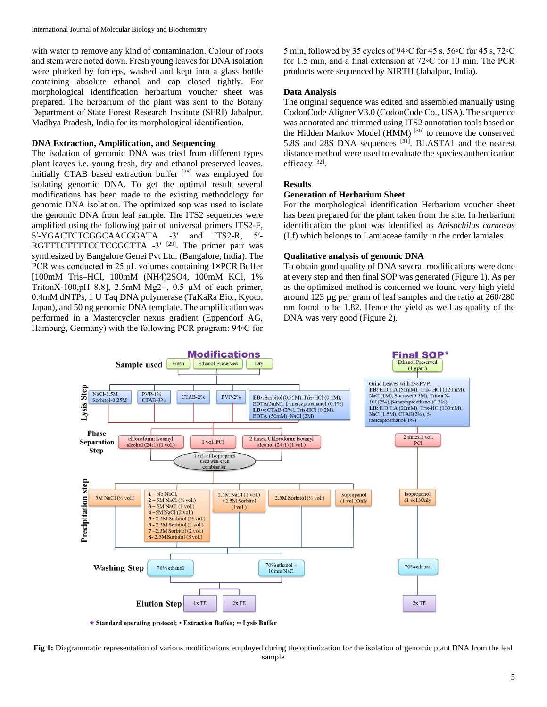with water to remove any kind of contamination. Colour of roots and stem were noted down. Fresh young leaves for DNA isolation were plucked by forceps, washed and kept into a glass bottle containing absolute ethanol and cap closed tightly. For morphological identification herbarium voucher sheet was prepared. The herbarium of the plant was sent to the Botany Department of State Forest Research Institute (SFRI) Jabalpur, Madhya Pradesh, India for its morphological identification.

#### **DNA Extraction, Amplification, and Sequencing**

The isolation of genomic DNA was tried from different types plant leaves i.e. young fresh, dry and ethanol preserved leaves. Initially CTAB based extraction buffer [28] was employed for isolating genomic DNA. To get the optimal result several modifications has been made to the existing methodology for genomic DNA isolation. The optimized sop was used to isolate the genomic DNA from leaf sample. The ITS2 sequences were amplified using the following pair of universal primers ITS2-F, 5′-YGACTCTCGGCAACGGATA -3′ and ITS2-R, 5′- RGTTTCTTTTCCTCCGCTTA -3'<sup>[29]</sup>. The primer pair was synthesized by Bangalore Genei Pvt Ltd. (Bangalore, India). The PCR was conducted in 25  $\mu$ L volumes containing 1×PCR Buffer [100mM Tris–HCl, 100mM (NH4)2SO4, 100mM KCl, 1% TritonX-100,pH 8.8], 2.5mM  $Mg2+$ , 0.5  $\mu$ M of each primer, 0.4mM dNTPs, 1 U Taq DNA polymerase (TaKaRa Bio., Kyoto, Japan), and 50 ng genomic DNA template. The amplification was performed in a Mastercycler nexus gradient (Eppendorf AG, Hamburg, Germany) with the following PCR program: 94◦C for 5 min, followed by 35 cycles of 94◦C for 45 s, 56◦C for 45 s, 72◦C for 1.5 min, and a final extension at 72◦C for 10 min. The PCR products were sequenced by NIRTH (Jabalpur, India).

#### **Data Analysis**

The original sequence was edited and assembled manually using CodonCode Aligner V3.0 (CodonCode Co., USA). The sequence was annotated and trimmed using ITS2 annotation tools based on the Hidden Markov Model (HMM)<sup>[30]</sup> to remove the conserved 5.8S and 28S DNA sequences [31]. BLASTA1 and the nearest distance method were used to evaluate the species authentication efficacy<sup>[32]</sup>.

# **Results**

#### **Generation of Herbarium Sheet**

For the morphological identification Herbarium voucher sheet has been prepared for the plant taken from the site. In herbarium identification the plant was identified as *Anisochilus carnosus* (Lf) which belongs to Lamiaceae family in the order lamiales.

#### **Qualitative analysis of genomic DNA**

To obtain good quality of DNA several modifications were done at every step and then final SOP was generated (Figure 1). As per as the optimized method is concerned we found very high yield around 123 µg per gram of leaf samples and the ratio at 260/280 nm found to be 1.82. Hence the yield as well as quality of the DNA was very good (Figure 2).



\* Standard operating protocol; • Extraction Buffer; • Lysis Buffer

Fig 1: Diagrammatic representation of various modifications employed during the optimization for the isolation of genomic plant DNA from the leaf sample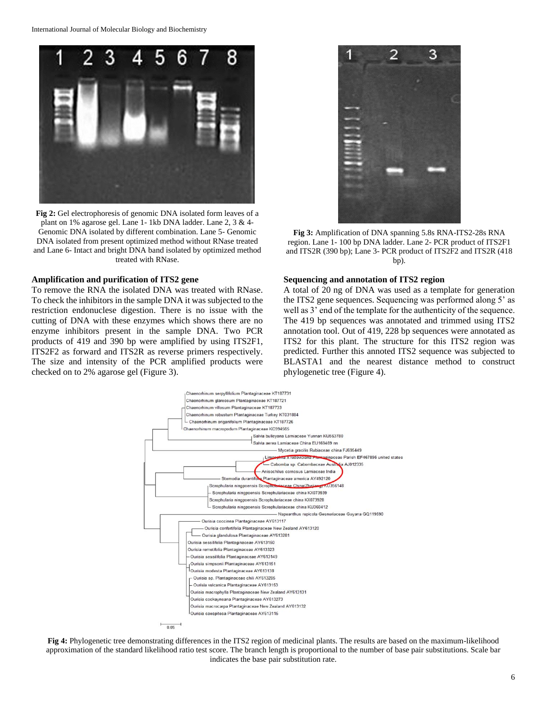

**Fig 2:** Gel electrophoresis of genomic DNA isolated form leaves of a plant on 1% agarose gel. Lane 1- 1kb DNA ladder. Lane 2, 3 & 4- Genomic DNA isolated by different combination. Lane 5- Genomic DNA isolated from present optimized method without RNase treated and Lane 6- Intact and bright DNA band isolated by optimized method treated with RNase.

#### **Amplification and purification of ITS2 gene**

To remove the RNA the isolated DNA was treated with RNase. To check the inhibitors in the sample DNA it was subjected to the restriction endonuclese digestion. There is no issue with the cutting of DNA with these enzymes which shows there are no enzyme inhibitors present in the sample DNA. Two PCR products of 419 and 390 bp were amplified by using ITS2F1, ITS2F2 as forward and ITS2R as reverse primers respectively. The size and intensity of the PCR amplified products were checked on to 2% agarose gel (Figure 3).



**Fig 3:** Amplification of DNA spanning 5.8s RNA-ITS2-28s RNA region. Lane 1- 100 bp DNA ladder. Lane 2- PCR product of ITS2F1 and ITS2R (390 bp); Lane 3- PCR product of ITS2F2 and ITS2R (418 bp).

#### **Sequencing and annotation of ITS2 region**

A total of 20 ng of DNA was used as a template for generation the ITS2 gene sequences. Sequencing was performed along 5' as well as 3' end of the template for the authenticity of the sequence. The 419 bp sequences was annotated and trimmed using ITS2 annotation tool. Out of 419, 228 bp sequences were annotated as ITS2 for this plant. The structure for this ITS2 region was predicted. Further this annoted ITS2 sequence was subjected to BLASTA1 and the nearest distance method to construct phylogenetic tree (Figure 4).



**Fig 4:** Phylogenetic tree demonstrating differences in the ITS2 region of medicinal plants. The results are based on the maximum-likelihood approximation of the standard likelihood ratio test score. The branch length is proportional to the number of base pair substitutions. Scale bar indicates the base pair substitution rate.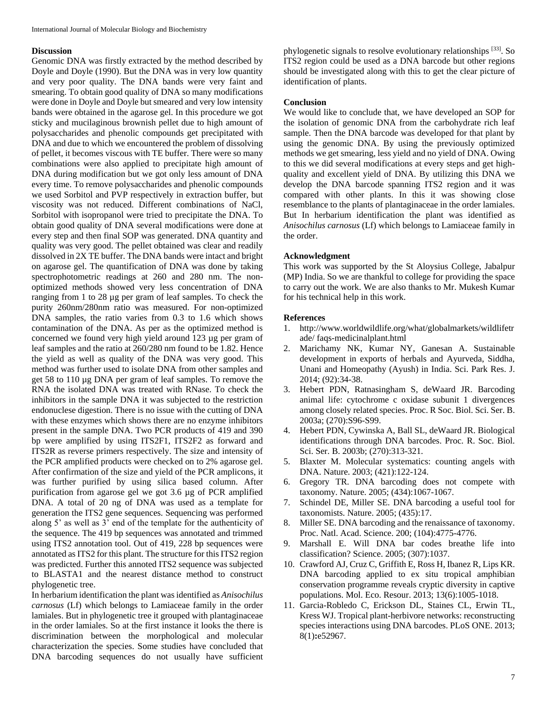#### **Discussion**

Genomic DNA was firstly extracted by the method described by Doyle and Doyle (1990). But the DNA was in very low quantity and very poor quality. The DNA bands were very faint and smearing. To obtain good quality of DNA so many modifications were done in Doyle and Doyle but smeared and very low intensity bands were obtained in the agarose gel. In this procedure we got sticky and mucilaginous brownish pellet due to high amount of polysaccharides and phenolic compounds get precipitated with DNA and due to which we encountered the problem of dissolving of pellet, it becomes viscous with TE buffer. There were so many combinations were also applied to precipitate high amount of DNA during modification but we got only less amount of DNA every time. To remove polysaccharides and phenolic compounds we used Sorbitol and PVP respectively in extraction buffer, but viscosity was not reduced. Different combinations of NaCl, Sorbitol with isopropanol were tried to precipitate the DNA. To obtain good quality of DNA several modifications were done at every step and then final SOP was generated. DNA quantity and quality was very good. The pellet obtained was clear and readily dissolved in 2X TE buffer. The DNA bands were intact and bright on agarose gel. The quantification of DNA was done by taking spectrophotometric readings at 260 and 280 nm. The nonoptimized methods showed very less concentration of DNA ranging from 1 to 28 µg per gram of leaf samples. To check the purity 260nm/280nm ratio was measured. For non-optimized DNA samples, the ratio varies from 0.3 to 1.6 which shows contamination of the DNA. As per as the optimized method is concerned we found very high yield around 123 µg per gram of leaf samples and the ratio at 260/280 nm found to be 1.82. Hence the yield as well as quality of the DNA was very good. This method was further used to isolate DNA from other samples and get 58 to 110 µg DNA per gram of leaf samples. To remove the RNA the isolated DNA was treated with RNase. To check the inhibitors in the sample DNA it was subjected to the restriction endonuclese digestion. There is no issue with the cutting of DNA with these enzymes which shows there are no enzyme inhibitors present in the sample DNA. Two PCR products of 419 and 390 bp were amplified by using ITS2F1, ITS2F2 as forward and ITS2R as reverse primers respectively. The size and intensity of the PCR amplified products were checked on to 2% agarose gel. After confirmation of the size and yield of the PCR amplicons, it was further purified by using silica based column. After purification from agarose gel we got 3.6 µg of PCR amplified DNA. A total of 20 ng of DNA was used as a template for generation the ITS2 gene sequences. Sequencing was performed along 5' as well as 3' end of the template for the authenticity of the sequence. The 419 bp sequences was annotated and trimmed using ITS2 annotation tool. Out of 419, 228 bp sequences were annotated as ITS2 for this plant. The structure for this ITS2 region was predicted. Further this annoted ITS2 sequence was subjected to BLASTA1 and the nearest distance method to construct phylogenetic tree.

In herbarium identification the plant was identified as *Anisochilus carnosus* (Lf) which belongs to Lamiaceae family in the order lamiales. But in phylogenetic tree it grouped with plantaginaceae in the order lamiales. So at the first instance it looks the there is discrimination between the morphological and molecular characterization the species. Some studies have concluded that DNA barcoding sequences do not usually have sufficient

phylogenetic signals to resolve evolutionary relationships [33]. So ITS2 region could be used as a DNA barcode but other regions should be investigated along with this to get the clear picture of identification of plants.

# **Conclusion**

We would like to conclude that, we have developed an SOP for the isolation of genomic DNA from the carbohydrate rich leaf sample. Then the DNA barcode was developed for that plant by using the genomic DNA. By using the previously optimized methods we get smearing, less yield and no yield of DNA. Owing to this we did several modifications at every steps and get highquality and excellent yield of DNA. By utilizing this DNA we develop the DNA barcode spanning ITS2 region and it was compared with other plants. In this it was showing close resemblance to the plants of plantaginaceae in the order lamiales. But In herbarium identification the plant was identified as *Anisochilus carnosus* (Lf) which belongs to Lamiaceae family in the order.

#### **Acknowledgment**

This work was supported by the St Aloysius College, Jabalpur (MP) India. So we are thankful to college for providing the space to carry out the work. We are also thanks to Mr. Mukesh Kumar for his technical help in this work.

#### **References**

- 1. http://www.worldwildlife.org/what/globalmarkets/wildlifetr ade/ faqs-medicinalplant.html
- 2. Marichamy NK, Kumar NY, Ganesan A. Sustainable development in exports of herbals and Ayurveda, Siddha, Unani and Homeopathy (Ayush) in India. Sci. Park Res. J. 2014; (92):34-38.
- 3. Hebert PDN, Ratnasingham S, deWaard JR. Barcoding animal life: cytochrome c oxidase subunit 1 divergences among closely related species. Proc. R Soc. Biol. Sci. Ser. B. 2003a; (270):S96-S99.
- 4. Hebert PDN, Cywinska A, Ball SL, deWaard JR. Biological identifications through DNA barcodes. Proc. R. Soc. Biol. Sci. Ser. B. 2003b; (270):313-321.
- 5. Blaxter M. Molecular systematics: counting angels with DNA. Nature. 2003; (421):122-124.
- 6. Gregory TR. DNA barcoding does not compete with taxonomy. Nature. 2005; (434):1067-1067.
- 7. Schindel DE, Miller SE. DNA barcoding a useful tool for taxonomists. Nature. 2005; (435):17.
- 8. Miller SE. DNA barcoding and the renaissance of taxonomy. Proc. Natl. Acad. Science. 200; (104):4775-4776.
- 9. Marshall E. Will DNA bar codes breathe life into classification? Science. 2005; (307):1037.
- 10. Crawford AJ, Cruz C, Griffith E, Ross H, Ibanez R, Lips KR. DNA barcoding applied to ex situ tropical amphibian conservation programme reveals cryptic diversity in captive populations. Mol. Eco. Resour. 2013; 13(6):1005-1018.
- 11. Garcia-Robledo C, Erickson DL, Staines CL, Erwin TL, Kress WJ. Tropical plant-herbivore networks: reconstructing species interactions using DNA barcodes. PLoS ONE. 2013; 8(1)**:**e52967.